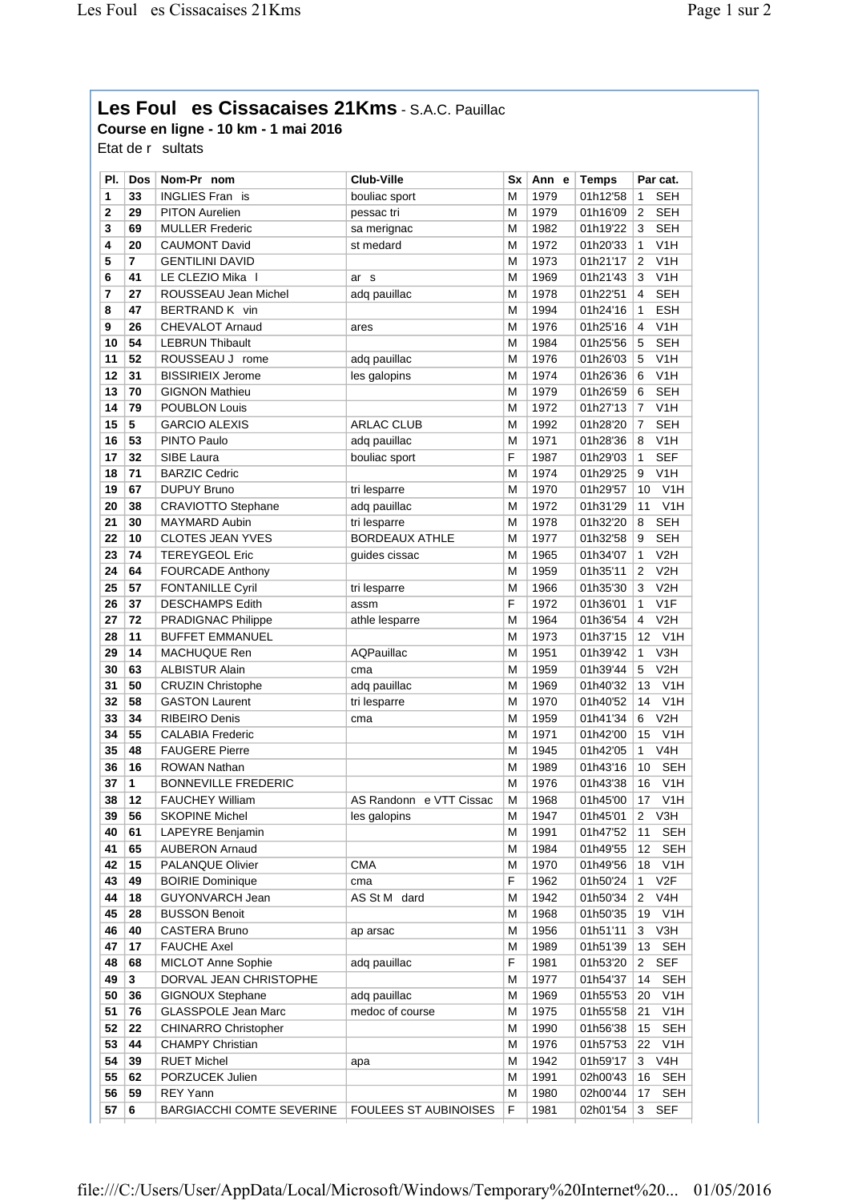## Les Foul es Cissacaises 21Kms - S.A.C. Pauillac

Course en ligne - 10 km - 1 mai 2016

Etat de r sultats

| PI. | Dos | Nom-Pr nom                  | <b>Club-Ville</b>            | Sx | Ann e | <b>Temps</b> | Par cat.               |
|-----|-----|-----------------------------|------------------------------|----|-------|--------------|------------------------|
| 1   | 33  | <b>INGLIES Fran is</b>      | bouliac sport                | М  | 1979  | 01h12'58     | <b>SEH</b><br>1        |
| 2   | 29  | <b>PITON Aurelien</b>       | pessac tri                   | М  | 1979  | 01h16'09     | <b>SEH</b><br>2        |
| 3   | 69  | <b>MULLER Frederic</b>      | sa merignac                  | М  | 1982  | 01h19'22     | <b>SEH</b><br>3        |
| 4   | 20  | <b>CAUMONT David</b>        | st medard                    | М  | 1972  | 01h20'33     | V <sub>1</sub> H<br>1  |
| 5   | 7   | <b>GENTILINI DAVID</b>      |                              | M  | 1973  | 01h21'17     | V1H<br>2               |
| 6   | 41  | LE CLEZIO Mika I            | ar s                         | М  | 1969  | 01h21'43     | V <sub>1</sub> H<br>3  |
| 7   | 27  | ROUSSEAU Jean Michel        | adq pauillac                 | М  | 1978  | 01h22'51     | <b>SEH</b><br>4        |
| 8   | 47  | BERTRAND K vin              |                              | М  | 1994  | 01h24'16     | <b>ESH</b><br>1        |
| 9   | 26  | <b>CHEVALOT Arnaud</b>      | ares                         | М  | 1976  | 01h25'16     | V1H<br>4               |
| 10  | 54  | <b>LEBRUN Thibault</b>      |                              | M  | 1984  | 01h25'56     | <b>SEH</b><br>5        |
| 11  | 52  | ROUSSEAU J rome             | adq pauillac                 | М  | 1976  | 01h26'03     | V <sub>1</sub> H<br>5  |
| 12  | 31  | <b>BISSIRIEIX Jerome</b>    | les galopins                 | М  | 1974  | 01h26'36     | V1H<br>6               |
| 13  | 70  | <b>GIGNON Mathieu</b>       |                              | М  | 1979  | 01h26'59     | <b>SEH</b><br>6        |
| 14  | 79  | POUBLON Louis               |                              | М  | 1972  | 01h27'13     | V <sub>1</sub> H<br>7  |
| 15  | 5   | <b>GARCIO ALEXIS</b>        | <b>ARLAC CLUB</b>            | М  | 1992  | 01h28'20     | <b>SEH</b><br>7        |
| 16  | 53  | PINTO Paulo                 | adq pauillac                 | M  | 1971  | 01h28'36     | V <sub>1</sub> H<br>8  |
| 17  | 32  | SIBE Laura                  | bouliac sport                | F  | 1987  | 01h29'03     | <b>SEF</b><br>1        |
| 18  | 71  | <b>BARZIC Cedric</b>        |                              | М  | 1974  | 01h29'25     | V <sub>1</sub> H<br>9  |
| 19  | 67  | <b>DUPUY Bruno</b>          | tri lesparre                 | М  | 1970  | 01h29'57     | V <sub>1</sub> H<br>10 |
| 20  | 38  | <b>CRAVIOTTO Stephane</b>   | adq pauillac                 | M  | 1972  | 01h31'29     | V1H<br>11              |
| 21  | 30  | MAYMARD Aubin               | tri lesparre                 | M  | 1978  | 01h32'20     | <b>SEH</b><br>8        |
| 22  | 10  | <b>CLOTES JEAN YVES</b>     | <b>BORDEAUX ATHLE</b>        | М  | 1977  | 01h32'58     | <b>SEH</b><br>9        |
| 23  | 74  | <b>TEREYGEOL Eric</b>       | guides cissac                | M  | 1965  | 01h34'07     | V2H<br>1               |
| 24  | 64  | <b>FOURCADE Anthony</b>     |                              | M  | 1959  | 01h35'11     | V2H<br>2               |
| 25  | 57  | <b>FONTANILLE Cyril</b>     | tri lesparre                 | М  | 1966  | 01h35'30     | 3<br>V2H               |
| 26  | 37  | <b>DESCHAMPS Edith</b>      | assm                         | F  | 1972  | 01h36'01     | V1F<br>1               |
| 27  | 72  | <b>PRADIGNAC Philippe</b>   | athle lesparre               | M  | 1964  | 01h36'54     | V2H<br>4               |
| 28  | 11  | <b>BUFFET EMMANUEL</b>      |                              | M  | 1973  | 01h37'15     | V <sub>1</sub> H<br>12 |
| 29  | 14  | MACHUQUE Ren                | AQPauillac                   | М  | 1951  | 01h39'42     | V3H<br>1               |
| 30  | 63  | <b>ALBISTUR Alain</b>       | cma                          | M  | 1959  | 01h39'44     | V2H<br>5               |
| 31  | 50  | <b>CRUZIN Christophe</b>    | adq pauillac                 | M  | 1969  | 01h40'32     | V <sub>1</sub> H<br>13 |
| 32  | 58  | <b>GASTON Laurent</b>       | tri lesparre                 | М  | 1970  | 01h40'52     | V1H<br>14              |
| 33  | 34  | <b>RIBEIRO Denis</b>        | cma                          | М  | 1959  | 01h41'34     | V2H<br>6               |
| 34  | 55  | <b>CALABIA Frederic</b>     |                              | М  | 1971  | 01h42'00     | V1H<br>15              |
| 35  | 48  | <b>FAUGERE Pierre</b>       |                              | М  | 1945  | 01h42'05     | V <sub>4</sub> H<br>1  |
| 36  | 16  | <b>ROWAN Nathan</b>         |                              | М  | 1989  | 01h43'16     | <b>SEH</b><br>10       |
| 37  | 1   | <b>BONNEVILLE FREDERIC</b>  |                              | М  | 1976  | 01h43'38     | V1H<br>16              |
| 38  | 12  | <b>FAUCHEY William</b>      | AS Randonn e VTT Cissac      | М  | 1968  | 01h45'00     | V1H<br>17              |
| 39  | 56  | <b>SKOPINE Michel</b>       | les galopins                 | M  | 1947  | 01h45'01     | 2<br>V3H               |
| 40  | 61  | LAPEYRE Benjamin            |                              | м  | 1991  | 01h47'52     | <b>SEH</b><br>11       |
| 41  | 65  | <b>AUBERON Arnaud</b>       |                              | М  | 1984  | 01h49'55     | <b>SEH</b><br>12       |
| 42  | 15  | PALANQUE Olivier            | <b>CMA</b>                   | М  | 1970  | 01h49'56     | V <sub>1</sub> H<br>18 |
| 43  | 49  | <b>BOIRIE Dominique</b>     | cma                          | F  | 1962  | 01h50'24     | V2F<br>1               |
| 44  | 18  | GUYONVARCH Jean             | AS St M dard                 | М  | 1942  | 01h50'34     | V4H<br>2               |
| 45  | 28  | <b>BUSSON Benoit</b>        |                              | м  | 1968  | 01h50'35     | V <sub>1</sub> H<br>19 |
| 46  | 40  | CASTERA Bruno               | ap arsac                     | М  | 1956  | 01h51'11     | V3H<br>3               |
| 47  | 17  | <b>FAUCHE Axel</b>          |                              | М  | 1989  | 01h51'39     | 13<br>SEH              |
| 48  | 68  | <b>MICLOT Anne Sophie</b>   | adq pauillac                 | F  | 1981  | 01h53'20     | <b>SEF</b><br>$^{2}$   |
| 49  | 3   | DORVAL JEAN CHRISTOPHE      |                              | М  | 1977  | 01h54'37     | <b>SEH</b><br>14       |
| 50  | 36  | <b>GIGNOUX Stephane</b>     | adq pauillac                 | М  | 1969  | 01h55'53     | V <sub>1</sub> H<br>20 |
| 51  | 76  | <b>GLASSPOLE Jean Marc</b>  | medoc of course              | М  | 1975  | 01h55'58     | V <sub>1</sub> H<br>21 |
| 52  | 22  | <b>CHINARRO Christopher</b> |                              | М  | 1990  | 01h56'38     | <b>SEH</b><br>15       |
| 53  | 44  | <b>CHAMPY Christian</b>     |                              | М  | 1976  | 01h57'53     | V <sub>1</sub> H<br>22 |
| 54  | 39  | <b>RUET Michel</b>          | ара                          | М  | 1942  | 01h59'17     | V4H<br>3               |
| 55  | 62  | PORZUCEK Julien             |                              | М  | 1991  | 02h00'43     | <b>SEH</b><br>16       |
| 56  | 59  | REY Yann                    |                              | М  | 1980  | 02h00'44     | <b>SEH</b><br>17       |
| 57  | 6   | BARGIACCHI COMTE SEVERINE   | <b>FOULEES ST AUBINOISES</b> | F  | 1981  | 02h01'54     | <b>SEF</b><br>3        |
|     |     |                             |                              |    |       |              |                        |